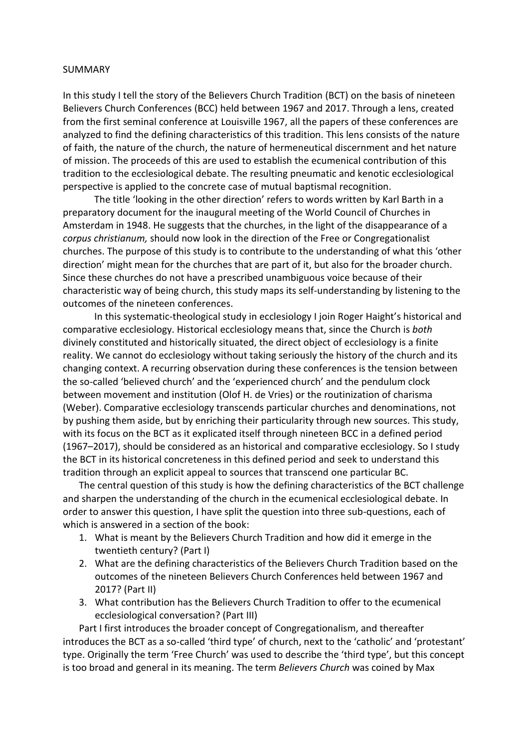## SUMMARY

In this study I tell the story of the Believers Church Tradition (BCT) on the basis of nineteen Believers Church Conferences (BCC) held between 1967 and 2017. Through a lens, created from the first seminal conference at Louisville 1967, all the papers of these conferences are analyzed to find the defining characteristics of this tradition. This lens consists of the nature of faith, the nature of the church, the nature of hermeneutical discernment and het nature of mission. The proceeds of this are used to establish the ecumenical contribution of this tradition to the ecclesiological debate. The resulting pneumatic and kenotic ecclesiological perspective is applied to the concrete case of mutual baptismal recognition.

The title 'looking in the other direction' refers to words written by Karl Barth in a preparatory document for the inaugural meeting of the World Council of Churches in Amsterdam in 1948. He suggests that the churches, in the light of the disappearance of a *corpus christianum,* should now look in the direction of the Free or Congregationalist churches. The purpose of this study is to contribute to the understanding of what this 'other direction' might mean for the churches that are part of it, but also for the broader church. Since these churches do not have a prescribed unambiguous voice because of their characteristic way of being church, this study maps its self-understanding by listening to the outcomes of the nineteen conferences.

In this systematic-theological study in ecclesiology I join Roger Haight's historical and comparative ecclesiology. Historical ecclesiology means that, since the Church is *both* divinely constituted and historically situated, the direct object of ecclesiology is a finite reality. We cannot do ecclesiology without taking seriously the history of the church and its changing context. A recurring observation during these conferences is the tension between the so-called 'believed church' and the 'experienced church' and the pendulum clock between movement and institution (Olof H. de Vries) or the routinization of charisma (Weber). Comparative ecclesiology transcends particular churches and denominations, not by pushing them aside, but by enriching their particularity through new sources. This study, with its focus on the BCT as it explicated itself through nineteen BCC in a defined period (1967–2017), should be considered as an historical and comparative ecclesiology. So I study the BCT in its historical concreteness in this defined period and seek to understand this tradition through an explicit appeal to sources that transcend one particular BC.

The central question of this study is how the defining characteristics of the BCT challenge and sharpen the understanding of the church in the ecumenical ecclesiological debate. In order to answer this question, I have split the question into three sub-questions, each of which is answered in a section of the book:

- 1. What is meant by the Believers Church Tradition and how did it emerge in the twentieth century? (Part I)
- 2. What are the defining characteristics of the Believers Church Tradition based on the outcomes of the nineteen Believers Church Conferences held between 1967 and 2017? (Part II)
- 3. What contribution has the Believers Church Tradition to offer to the ecumenical ecclesiological conversation? (Part III)

Part I first introduces the broader concept of Congregationalism, and thereafter introduces the BCT as a so-called 'third type' of church, next to the 'catholic' and 'protestant' type. Originally the term 'Free Church' was used to describe the 'third type', but this concept is too broad and general in its meaning. The term *Believers Church* was coined by Max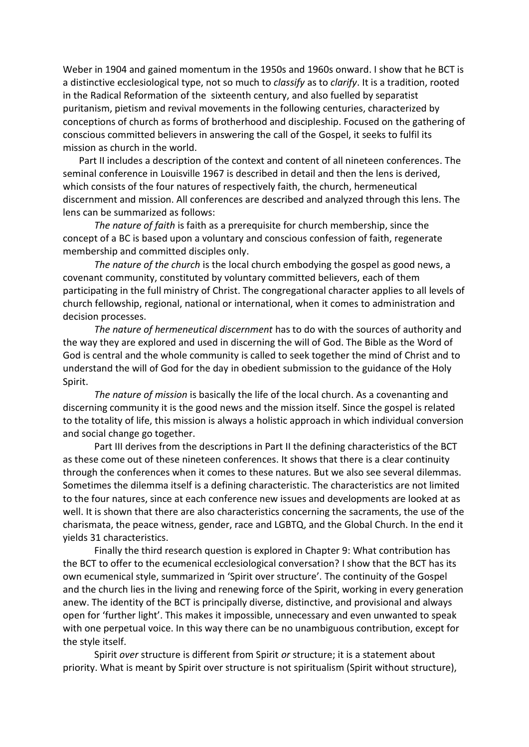Weber in 1904 and gained momentum in the 1950s and 1960s onward. I show that he BCT is a distinctive ecclesiological type, not so much to *classify* as to *clarify*. It is a tradition, rooted in the Radical Reformation of the sixteenth century, and also fuelled by separatist puritanism, pietism and revival movements in the following centuries, characterized by conceptions of church as forms of brotherhood and discipleship. Focused on the gathering of conscious committed believers in answering the call of the Gospel, it seeks to fulfil its mission as church in the world.

Part II includes a description of the context and content of all nineteen conferences. The seminal conference in Louisville 1967 is described in detail and then the lens is derived, which consists of the four natures of respectively faith, the church, hermeneutical discernment and mission. All conferences are described and analyzed through this lens. The lens can be summarized as follows:

*The nature of faith* is faith as a prerequisite for church membership, since the concept of a BC is based upon a voluntary and conscious confession of faith, regenerate membership and committed disciples only.

*The nature of the church* is the local church embodying the gospel as good news, a covenant community, constituted by voluntary committed believers, each of them participating in the full ministry of Christ. The congregational character applies to all levels of church fellowship, regional, national or international, when it comes to administration and decision processes.

*The nature of hermeneutical discernment* has to do with the sources of authority and the way they are explored and used in discerning the will of God. The Bible as the Word of God is central and the whole community is called to seek together the mind of Christ and to understand the will of God for the day in obedient submission to the guidance of the Holy Spirit.

*The nature of mission* is basically the life of the local church. As a covenanting and discerning community it is the good news and the mission itself. Since the gospel is related to the totality of life, this mission is always a holistic approach in which individual conversion and social change go together.

Part III derives from the descriptions in Part II the defining characteristics of the BCT as these come out of these nineteen conferences. It shows that there is a clear continuity through the conferences when it comes to these natures. But we also see several dilemmas. Sometimes the dilemma itself is a defining characteristic. The characteristics are not limited to the four natures, since at each conference new issues and developments are looked at as well. It is shown that there are also characteristics concerning the sacraments, the use of the charismata, the peace witness, gender, race and LGBTQ, and the Global Church. In the end it yields 31 characteristics.

Finally the third research question is explored in Chapter 9: What contribution has the BCT to offer to the ecumenical ecclesiological conversation? I show that the BCT has its own ecumenical style, summarized in 'Spirit over structure'. The continuity of the Gospel and the church lies in the living and renewing force of the Spirit, working in every generation anew. The identity of the BCT is principally diverse, distinctive, and provisional and always open for 'further light'. This makes it impossible, unnecessary and even unwanted to speak with one perpetual voice. In this way there can be no unambiguous contribution, except for the style itself.

Spirit *over* structure is different from Spirit *or* structure; it is a statement about priority. What is meant by Spirit over structure is not spiritualism (Spirit without structure),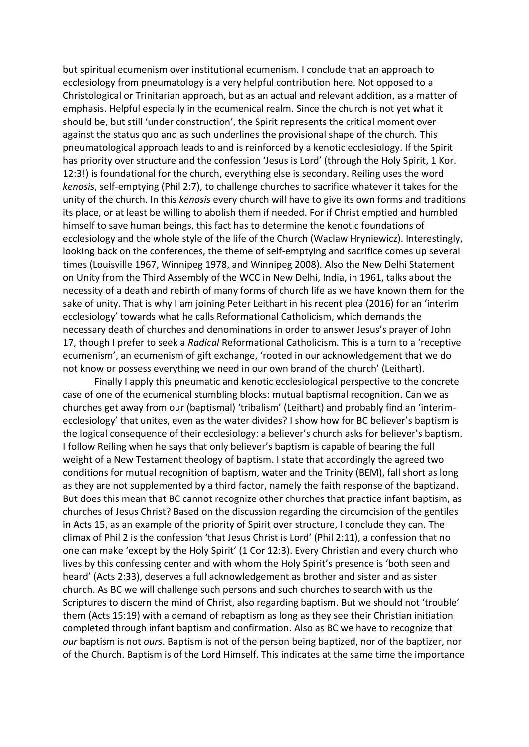but spiritual ecumenism over institutional ecumenism. I conclude that an approach to ecclesiology from pneumatology is a very helpful contribution here. Not opposed to a Christological or Trinitarian approach, but as an actual and relevant addition, as a matter of emphasis. Helpful especially in the ecumenical realm. Since the church is not yet what it should be, but still 'under construction', the Spirit represents the critical moment over against the status quo and as such underlines the provisional shape of the church. This pneumatological approach leads to and is reinforced by a kenotic ecclesiology. If the Spirit has priority over structure and the confession 'Jesus is Lord' (through the Holy Spirit, 1 Kor. 12:3!) is foundational for the church, everything else is secondary. Reiling uses the word *kenosis*, self-emptying (Phil 2:7), to challenge churches to sacrifice whatever it takes for the unity of the church. In this *kenosis* every church will have to give its own forms and traditions its place, or at least be willing to abolish them if needed. For if Christ emptied and humbled himself to save human beings, this fact has to determine the kenotic foundations of ecclesiology and the whole style of the life of the Church (Waclaw Hryniewicz). Interestingly, looking back on the conferences, the theme of self-emptying and sacrifice comes up several times (Louisville 1967, Winnipeg 1978, and Winnipeg 2008). Also the New Delhi Statement on Unity from the Third Assembly of the WCC in New Delhi, India, in 1961, talks about the necessity of a death and rebirth of many forms of church life as we have known them for the sake of unity. That is why I am joining Peter Leithart in his recent plea (2016) for an 'interim ecclesiology' towards what he calls Reformational Catholicism, which demands the necessary death of churches and denominations in order to answer Jesus's prayer of John 17, though I prefer to seek a *Radical* Reformational Catholicism. This is a turn to a 'receptive ecumenism', an ecumenism of gift exchange, 'rooted in our acknowledgement that we do not know or possess everything we need in our own brand of the church' (Leithart).

Finally I apply this pneumatic and kenotic ecclesiological perspective to the concrete case of one of the ecumenical stumbling blocks: mutual baptismal recognition. Can we as churches get away from our (baptismal) 'tribalism' (Leithart) and probably find an 'interimecclesiology' that unites, even as the water divides? I show how for BC believer's baptism is the logical consequence of their ecclesiology: a believer's church asks for believer's baptism. I follow Reiling when he says that only believer's baptism is capable of bearing the full weight of a New Testament theology of baptism. I state that accordingly the agreed two conditions for mutual recognition of baptism, water and the Trinity (BEM), fall short as long as they are not supplemented by a third factor, namely the faith response of the baptizand. But does this mean that BC cannot recognize other churches that practice infant baptism, as churches of Jesus Christ? Based on the discussion regarding the circumcision of the gentiles in Acts 15, as an example of the priority of Spirit over structure, I conclude they can. The climax of Phil 2 is the confession 'that Jesus Christ is Lord' (Phil 2:11), a confession that no one can make 'except by the Holy Spirit' (1 Cor 12:3). Every Christian and every church who lives by this confessing center and with whom the Holy Spirit's presence is 'both seen and heard' (Acts 2:33), deserves a full acknowledgement as brother and sister and as sister church. As BC we will challenge such persons and such churches to search with us the Scriptures to discern the mind of Christ, also regarding baptism. But we should not 'trouble' them (Acts 15:19) with a demand of rebaptism as long as they see their Christian initiation completed through infant baptism and confirmation. Also as BC we have to recognize that *our* baptism is not *ours*. Baptism is not of the person being baptized, nor of the baptizer, nor of the Church. Baptism is of the Lord Himself. This indicates at the same time the importance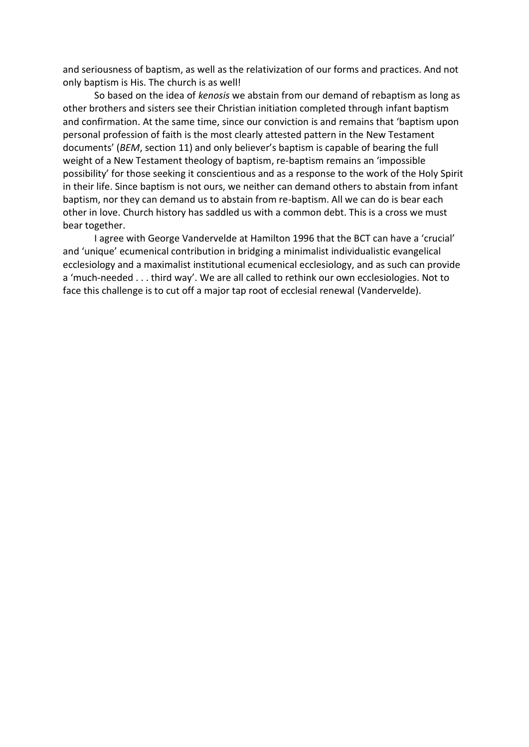and seriousness of baptism, as well as the relativization of our forms and practices. And not only baptism is His. The church is as well!

So based on the idea of *kenosis* we abstain from our demand of rebaptism as long as other brothers and sisters see their Christian initiation completed through infant baptism and confirmation. At the same time, since our conviction is and remains that 'baptism upon personal profession of faith is the most clearly attested pattern in the New Testament documents' (*BEM*, section 11) and only believer's baptism is capable of bearing the full weight of a New Testament theology of baptism, re-baptism remains an 'impossible possibility' for those seeking it conscientious and as a response to the work of the Holy Spirit in their life. Since baptism is not ours, we neither can demand others to abstain from infant baptism, nor they can demand us to abstain from re-baptism. All we can do is bear each other in love. Church history has saddled us with a common debt. This is a cross we must bear together.

I agree with George Vandervelde at Hamilton 1996 that the BCT can have a 'crucial' and 'unique' ecumenical contribution in bridging a minimalist individualistic evangelical ecclesiology and a maximalist institutional ecumenical ecclesiology, and as such can provide a 'much-needed . . . third way'. We are all called to rethink our own ecclesiologies. Not to face this challenge is to cut off a major tap root of ecclesial renewal (Vandervelde).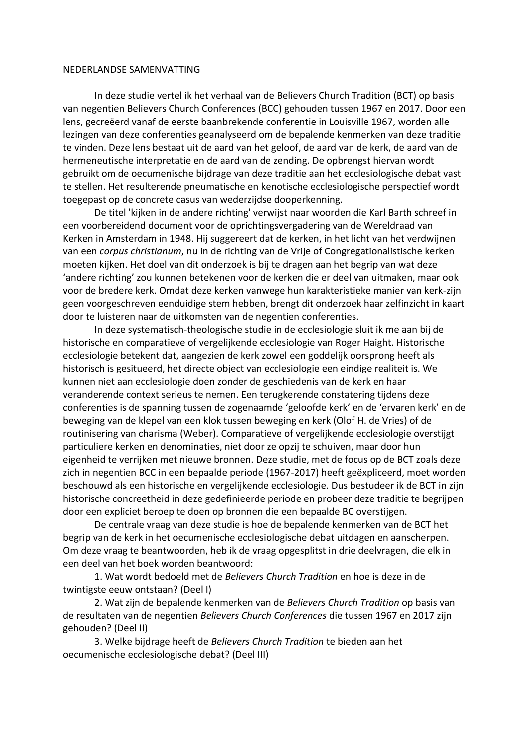## NEDERLANDSE SAMENVATTING

In deze studie vertel ik het verhaal van de Believers Church Tradition (BCT) op basis van negentien Believers Church Conferences (BCC) gehouden tussen 1967 en 2017. Door een lens, gecreëerd vanaf de eerste baanbrekende conferentie in Louisville 1967, worden alle lezingen van deze conferenties geanalyseerd om de bepalende kenmerken van deze traditie te vinden. Deze lens bestaat uit de aard van het geloof, de aard van de kerk, de aard van de hermeneutische interpretatie en de aard van de zending. De opbrengst hiervan wordt gebruikt om de oecumenische bijdrage van deze traditie aan het ecclesiologische debat vast te stellen. Het resulterende pneumatische en kenotische ecclesiologische perspectief wordt toegepast op de concrete casus van wederzijdse dooperkenning.

De titel 'kijken in de andere richting' verwijst naar woorden die Karl Barth schreef in een voorbereidend document voor de oprichtingsvergadering van de Wereldraad van Kerken in Amsterdam in 1948. Hij suggereert dat de kerken, in het licht van het verdwijnen van een *corpus christianum*, nu in de richting van de Vrije of Congregationalistische kerken moeten kijken. Het doel van dit onderzoek is bij te dragen aan het begrip van wat deze 'andere richting' zou kunnen betekenen voor de kerken die er deel van uitmaken, maar ook voor de bredere kerk. Omdat deze kerken vanwege hun karakteristieke manier van kerk-zijn geen voorgeschreven eenduidige stem hebben, brengt dit onderzoek haar zelfinzicht in kaart door te luisteren naar de uitkomsten van de negentien conferenties.

In deze systematisch-theologische studie in de ecclesiologie sluit ik me aan bij de historische en comparatieve of vergelijkende ecclesiologie van Roger Haight. Historische ecclesiologie betekent dat, aangezien de kerk zowel een goddelijk oorsprong heeft als historisch is gesitueerd, het directe object van ecclesiologie een eindige realiteit is. We kunnen niet aan ecclesiologie doen zonder de geschiedenis van de kerk en haar veranderende context serieus te nemen. Een terugkerende constatering tijdens deze conferenties is de spanning tussen de zogenaamde 'geloofde kerk' en de 'ervaren kerk' en de beweging van de klepel van een klok tussen beweging en kerk (Olof H. de Vries) of de routinisering van charisma (Weber). Comparatieve of vergelijkende ecclesiologie overstijgt particuliere kerken en denominaties, niet door ze opzij te schuiven, maar door hun eigenheid te verrijken met nieuwe bronnen. Deze studie, met de focus op de BCT zoals deze zich in negentien BCC in een bepaalde periode (1967-2017) heeft geëxpliceerd, moet worden beschouwd als een historische en vergelijkende ecclesiologie. Dus bestudeer ik de BCT in zijn historische concreetheid in deze gedefinieerde periode en probeer deze traditie te begrijpen door een expliciet beroep te doen op bronnen die een bepaalde BC overstijgen.

De centrale vraag van deze studie is hoe de bepalende kenmerken van de BCT het begrip van de kerk in het oecumenische ecclesiologische debat uitdagen en aanscherpen. Om deze vraag te beantwoorden, heb ik de vraag opgesplitst in drie deelvragen, die elk in een deel van het boek worden beantwoord:

1. Wat wordt bedoeld met de *Believers Church Tradition* en hoe is deze in de twintigste eeuw ontstaan? (Deel I)

2. Wat zijn de bepalende kenmerken van de *Believers Church Tradition* op basis van de resultaten van de negentien *Believers Church Conferences* die tussen 1967 en 2017 zijn gehouden? (Deel II)

3. Welke bijdrage heeft de *Believers Church Tradition* te bieden aan het oecumenische ecclesiologische debat? (Deel III)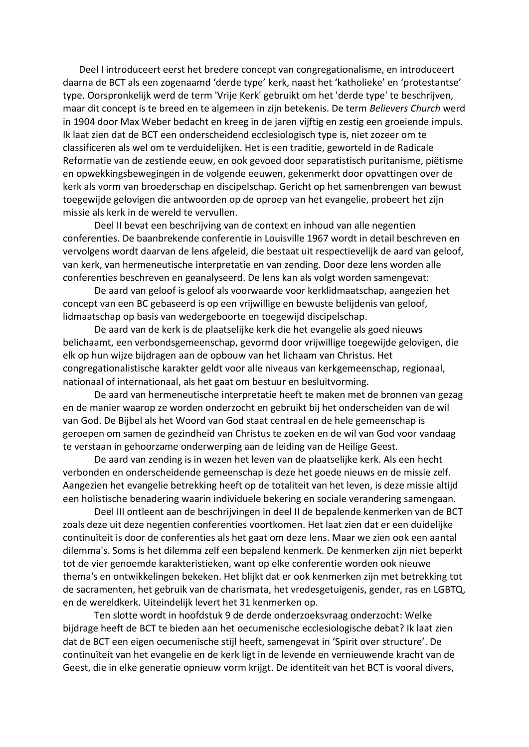Deel I introduceert eerst het bredere concept van congregationalisme, en introduceert daarna de BCT als een zogenaamd 'derde type' kerk, naast het 'katholieke' en 'protestantse' type. Oorspronkelijk werd de term 'Vrije Kerk' gebruikt om het 'derde type' te beschrijven, maar dit concept is te breed en te algemeen in zijn betekenis. De term *Believers Church* werd in 1904 door Max Weber bedacht en kreeg in de jaren vijftig en zestig een groeiende impuls. Ik laat zien dat de BCT een onderscheidend ecclesiologisch type is, niet zozeer om te classificeren als wel om te verduidelijken. Het is een traditie, geworteld in de Radicale Reformatie van de zestiende eeuw, en ook gevoed door separatistisch puritanisme, piëtisme en opwekkingsbewegingen in de volgende eeuwen, gekenmerkt door opvattingen over de kerk als vorm van broederschap en discipelschap. Gericht op het samenbrengen van bewust toegewijde gelovigen die antwoorden op de oproep van het evangelie, probeert het zijn missie als kerk in de wereld te vervullen.

Deel II bevat een beschrijving van de context en inhoud van alle negentien conferenties. De baanbrekende conferentie in Louisville 1967 wordt in detail beschreven en vervolgens wordt daarvan de lens afgeleid, die bestaat uit respectievelijk de aard van geloof, van kerk, van hermeneutische interpretatie en van zending. Door deze lens worden alle conferenties beschreven en geanalyseerd. De lens kan als volgt worden samengevat:

De aard van geloof is geloof als voorwaarde voor kerklidmaatschap, aangezien het concept van een BC gebaseerd is op een vrijwillige en bewuste belijdenis van geloof, lidmaatschap op basis van wedergeboorte en toegewijd discipelschap.

De aard van de kerk is de plaatselijke kerk die het evangelie als goed nieuws belichaamt, een verbondsgemeenschap, gevormd door vrijwillige toegewijde gelovigen, die elk op hun wijze bijdragen aan de opbouw van het lichaam van Christus. Het congregationalistische karakter geldt voor alle niveaus van kerkgemeenschap, regionaal, nationaal of internationaal, als het gaat om bestuur en besluitvorming.

De aard van hermeneutische interpretatie heeft te maken met de bronnen van gezag en de manier waarop ze worden onderzocht en gebruikt bij het onderscheiden van de wil van God. De Bijbel als het Woord van God staat centraal en de hele gemeenschap is geroepen om samen de gezindheid van Christus te zoeken en de wil van God voor vandaag te verstaan in gehoorzame onderwerping aan de leiding van de Heilige Geest.

De aard van zending is in wezen het leven van de plaatselijke kerk. Als een hecht verbonden en onderscheidende gemeenschap is deze het goede nieuws en de missie zelf. Aangezien het evangelie betrekking heeft op de totaliteit van het leven, is deze missie altijd een holistische benadering waarin individuele bekering en sociale verandering samengaan.

Deel III ontleent aan de beschrijvingen in deel II de bepalende kenmerken van de BCT zoals deze uit deze negentien conferenties voortkomen. Het laat zien dat er een duidelijke continuïteit is door de conferenties als het gaat om deze lens. Maar we zien ook een aantal dilemma's. Soms is het dilemma zelf een bepalend kenmerk. De kenmerken zijn niet beperkt tot de vier genoemde karakteristieken, want op elke conferentie worden ook nieuwe thema's en ontwikkelingen bekeken. Het blijkt dat er ook kenmerken zijn met betrekking tot de sacramenten, het gebruik van de charismata, het vredesgetuigenis, gender, ras en LGBTQ, en de wereldkerk. Uiteindelijk levert het 31 kenmerken op.

Ten slotte wordt in hoofdstuk 9 de derde onderzoeksvraag onderzocht: Welke bijdrage heeft de BCT te bieden aan het oecumenische ecclesiologische debat? Ik laat zien dat de BCT een eigen oecumenische stijl heeft, samengevat in 'Spirit over structure'. De continuïteit van het evangelie en de kerk ligt in de levende en vernieuwende kracht van de Geest, die in elke generatie opnieuw vorm krijgt. De identiteit van het BCT is vooral divers,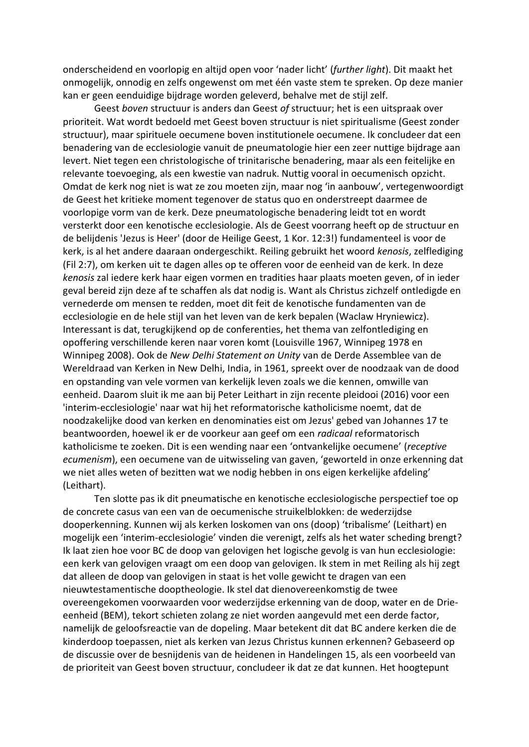onderscheidend en voorlopig en altijd open voor 'nader licht' (*further light*). Dit maakt het onmogelijk, onnodig en zelfs ongewenst om met één vaste stem te spreken. Op deze manier kan er geen eenduidige bijdrage worden geleverd, behalve met de stijl zelf.

Geest *boven* structuur is anders dan Geest *of* structuur; het is een uitspraak over prioriteit. Wat wordt bedoeld met Geest boven structuur is niet spiritualisme (Geest zonder structuur), maar spirituele oecumene boven institutionele oecumene. Ik concludeer dat een benadering van de ecclesiologie vanuit de pneumatologie hier een zeer nuttige bijdrage aan levert. Niet tegen een christologische of trinitarische benadering, maar als een feitelijke en relevante toevoeging, als een kwestie van nadruk. Nuttig vooral in oecumenisch opzicht. Omdat de kerk nog niet is wat ze zou moeten zijn, maar nog 'in aanbouw', vertegenwoordigt de Geest het kritieke moment tegenover de status quo en onderstreept daarmee de voorlopige vorm van de kerk. Deze pneumatologische benadering leidt tot en wordt versterkt door een kenotische ecclesiologie. Als de Geest voorrang heeft op de structuur en de belijdenis 'Jezus is Heer' (door de Heilige Geest, 1 Kor. 12:3!) fundamenteel is voor de kerk, is al het andere daaraan ondergeschikt. Reiling gebruikt het woord *kenosis*, zelflediging (Fil 2:7), om kerken uit te dagen alles op te offeren voor de eenheid van de kerk. In deze *kenosis* zal iedere kerk haar eigen vormen en tradities haar plaats moeten geven, of in ieder geval bereid zijn deze af te schaffen als dat nodig is. Want als Christus zichzelf ontledigde en vernederde om mensen te redden, moet dit feit de kenotische fundamenten van de ecclesiologie en de hele stijl van het leven van de kerk bepalen (Waclaw Hryniewicz). Interessant is dat, terugkijkend op de conferenties, het thema van zelfontlediging en opoffering verschillende keren naar voren komt (Louisville 1967, Winnipeg 1978 en Winnipeg 2008). Ook de *New Delhi Statement on Unity* van de Derde Assemblee van de Wereldraad van Kerken in New Delhi, India, in 1961, spreekt over de noodzaak van de dood en opstanding van vele vormen van kerkelijk leven zoals we die kennen, omwille van eenheid. Daarom sluit ik me aan bij Peter Leithart in zijn recente pleidooi (2016) voor een 'interim-ecclesiologie' naar wat hij het reformatorische katholicisme noemt, dat de noodzakelijke dood van kerken en denominaties eist om Jezus' gebed van Johannes 17 te beantwoorden, hoewel ik er de voorkeur aan geef om een *radicaal* reformatorisch katholicisme te zoeken. Dit is een wending naar een 'ontvankelijke oecumene' (*receptive ecumenism*), een oecumene van de uitwisseling van gaven, 'geworteld in onze erkenning dat we niet alles weten of bezitten wat we nodig hebben in ons eigen kerkelijke afdeling' (Leithart).

Ten slotte pas ik dit pneumatische en kenotische ecclesiologische perspectief toe op de concrete casus van een van de oecumenische struikelblokken: de wederzijdse dooperkenning. Kunnen wij als kerken loskomen van ons (doop) 'tribalisme' (Leithart) en mogelijk een 'interim-ecclesiologie' vinden die verenigt, zelfs als het water scheding brengt? Ik laat zien hoe voor BC de doop van gelovigen het logische gevolg is van hun ecclesiologie: een kerk van gelovigen vraagt om een doop van gelovigen. Ik stem in met Reiling als hij zegt dat alleen de doop van gelovigen in staat is het volle gewicht te dragen van een nieuwtestamentische dooptheologie. Ik stel dat dienovereenkomstig de twee overeengekomen voorwaarden voor wederzijdse erkenning van de doop, water en de Drieeenheid (BEM), tekort schieten zolang ze niet worden aangevuld met een derde factor, namelijk de geloofsreactie van de dopeling. Maar betekent dit dat BC andere kerken die de kinderdoop toepassen, niet als kerken van Jezus Christus kunnen erkennen? Gebaseerd op de discussie over de besnijdenis van de heidenen in Handelingen 15, als een voorbeeld van de prioriteit van Geest boven structuur, concludeer ik dat ze dat kunnen. Het hoogtepunt